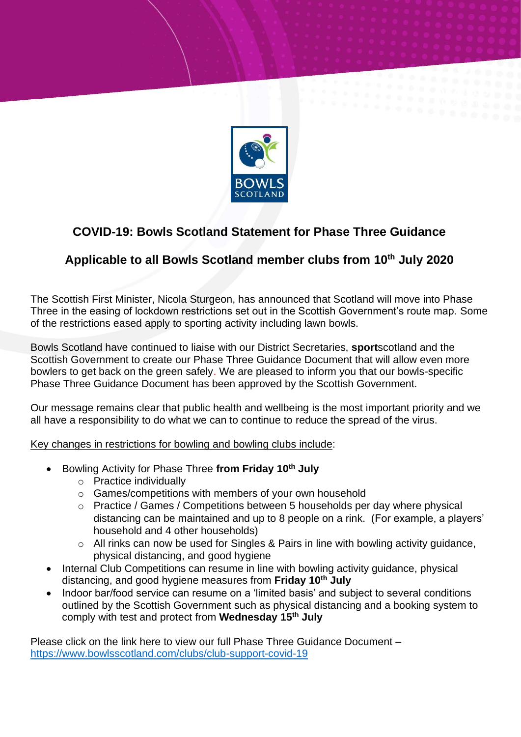

## **COVID-19: Bowls Scotland Statement for Phase Three Guidance**

## **Applicable to all Bowls Scotland member clubs from 10th July 2020**

The Scottish First Minister, Nicola Sturgeon, has announced that Scotland will move into Phase Three in the easing of lockdown restrictions set out in the Scottish Government's route map. Some of the restrictions eased apply to sporting activity including lawn bowls.

Bowls Scotland have continued to liaise with our District Secretaries, **sport**scotland and the Scottish Government to create our Phase Three Guidance Document that will allow even more bowlers to get back on the green safely. We are pleased to inform you that our bowls-specific Phase Three Guidance Document has been approved by the Scottish Government.

Our message remains clear that public health and wellbeing is the most important priority and we all have a responsibility to do what we can to continue to reduce the spread of the virus.

Key changes in restrictions for bowling and bowling clubs include:

- Bowling Activity for Phase Three **from Friday 10th July**
	- o Practice individually
	- o Games/competitions with members of your own household
	- o Practice / Games / Competitions between 5 households per day where physical distancing can be maintained and up to 8 people on a rink. (For example, a players' household and 4 other households)
	- o All rinks can now be used for Singles & Pairs in line with bowling activity guidance, physical distancing, and good hygiene
- Internal Club Competitions can resume in line with bowling activity guidance, physical distancing, and good hygiene measures from **Friday 10th July**
- Indoor bar/food service can resume on a 'limited basis' and subject to several conditions outlined by the Scottish Government such as physical distancing and a booking system to comply with test and protect from **Wednesday 15th July**

Please click on the link here to view our full Phase Three Guidance Document – <https://www.bowlsscotland.com/clubs/club-support-covid-19>